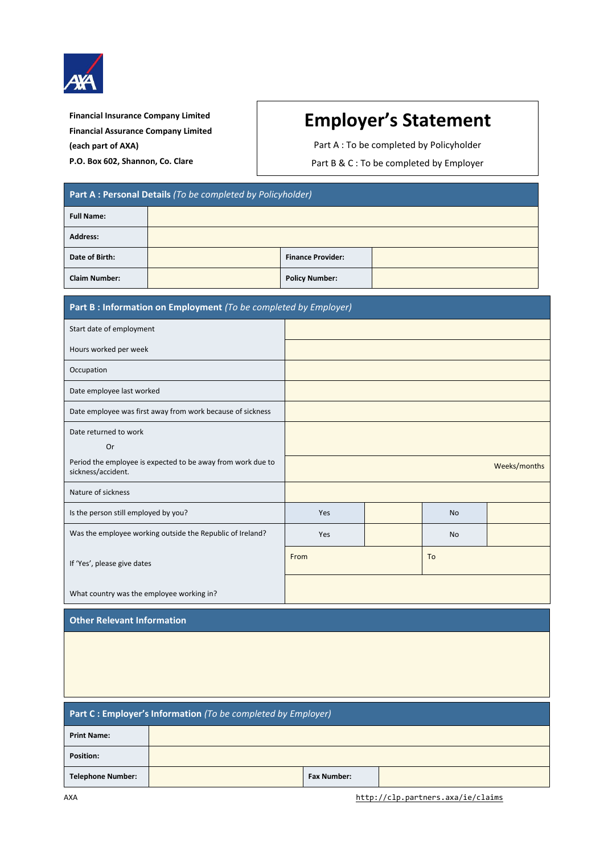

**Financial Insurance Company Limited Financial Assurance Company Limited (each part of AXA) P.O. Box 602, Shannon, Co. Clare**

## **Employer's Statement**

Part A : To be completed by Policyholder

Part B & C : To be completed by Employer

| Part A : Personal Details (To be completed by Policyholder) |  |                          |  |  |
|-------------------------------------------------------------|--|--------------------------|--|--|
| <b>Full Name:</b>                                           |  |                          |  |  |
| <b>Address:</b>                                             |  |                          |  |  |
| Date of Birth:                                              |  | <b>Finance Provider:</b> |  |  |
| <b>Claim Number:</b>                                        |  | <b>Policy Number:</b>    |  |  |

| Part B : Information on Employment (To be completed by Employer)                  |              |  |           |  |
|-----------------------------------------------------------------------------------|--------------|--|-----------|--|
| Start date of employment                                                          |              |  |           |  |
| Hours worked per week                                                             |              |  |           |  |
| Occupation                                                                        |              |  |           |  |
| Date employee last worked                                                         |              |  |           |  |
| Date employee was first away from work because of sickness                        |              |  |           |  |
| Date returned to work<br>Or                                                       |              |  |           |  |
| Period the employee is expected to be away from work due to<br>sickness/accident. | Weeks/months |  |           |  |
| Nature of sickness                                                                |              |  |           |  |
| Is the person still employed by you?                                              | Yes          |  | <b>No</b> |  |
| Was the employee working outside the Republic of Ireland?                         | Yes          |  | <b>No</b> |  |
| If 'Yes', please give dates                                                       | From         |  | To        |  |
| What country was the employee working in?                                         |              |  |           |  |

## **Other Relevant Information**

| Part C : Employer's Information (To be completed by Employer) |  |                    |  |  |
|---------------------------------------------------------------|--|--------------------|--|--|
| <b>Print Name:</b>                                            |  |                    |  |  |
| <b>Position:</b>                                              |  |                    |  |  |
| Telephone Number:                                             |  | <b>Fax Number:</b> |  |  |